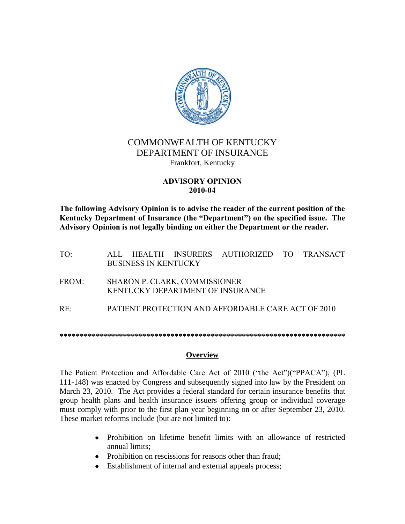

# COMMONWEALTH OF KENTUCKY DEPARTMENT OF INSURANCE Frankfort, Kentucky

#### **ADVISORY OPINION 2010-04**

**The following Advisory Opinion is to advise the reader of the current position of the Kentucky Department of Insurance (the "Department") on the specified issue. The Advisory Opinion is not legally binding on either the Department or the reader.**

- TO: ALL HEALTH INSURERS AUTHORIZED TO TRANSACT BUSINESS IN KENTUCKY
- FROM: SHARON P. CLARK, COMMISSIONER KENTUCKY DEPARTMENT OF INSURANCE
- RE: PATIENT PROTECTION AND AFFORDABLE CARE ACT OF 2010

**\*\*\*\*\*\*\*\*\*\*\*\*\*\*\*\*\*\*\*\*\*\*\*\*\*\*\*\*\*\*\*\*\*\*\*\*\*\*\*\*\*\*\*\*\*\*\*\*\*\*\*\*\*\*\*\*\*\*\*\*\*\*\*\*\*\*\*\*\*\*\*\***

### **Overview**

The Patient Protection and Affordable Care Act of 2010 ("the Act")("PPACA"), (PL 111-148) was enacted by Congress and subsequently signed into law by the President on March 23, 2010. The Act provides a federal standard for certain insurance benefits that group health plans and health insurance issuers offering group or individual coverage must comply with prior to the first plan year beginning on or after September 23, 2010. These market reforms include (but are not limited to):

- Prohibition on lifetime benefit limits with an allowance of restricted annual limits;
- Prohibition on rescissions for reasons other than fraud;
- Establishment of internal and external appeals process;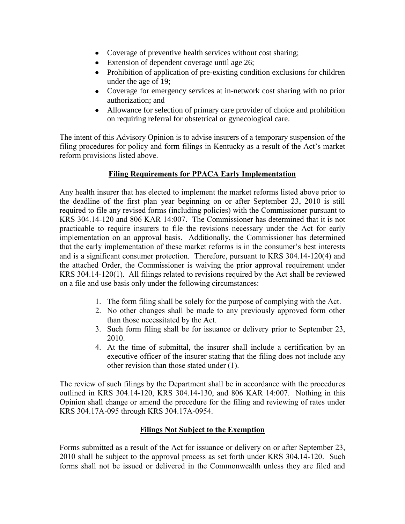- Coverage of preventive health services without cost sharing;
- Extension of dependent coverage until age 26;
- Prohibition of application of pre-existing condition exclusions for children under the age of 19;
- Coverage for emergency services at in-network cost sharing with no prior authorization; and
- Allowance for selection of primary care provider of choice and prohibition on requiring referral for obstetrical or gynecological care.

The intent of this Advisory Opinion is to advise insurers of a temporary suspension of the filing procedures for policy and form filings in Kentucky as a result of the Act's market reform provisions listed above.

### **Filing Requirements for PPACA Early Implementation**

Any health insurer that has elected to implement the market reforms listed above prior to the deadline of the first plan year beginning on or after September 23, 2010 is still required to file any revised forms (including policies) with the Commissioner pursuant to KRS 304.14-120 and 806 KAR 14:007. The Commissioner has determined that it is not practicable to require insurers to file the revisions necessary under the Act for early implementation on an approval basis. Additionally, the Commissioner has determined that the early implementation of these market reforms is in the consumer's best interests and is a significant consumer protection. Therefore, pursuant to KRS 304.14-120(4) and the attached Order, the Commissioner is waiving the prior approval requirement under KRS 304.14-120(1). All filings related to revisions required by the Act shall be reviewed on a file and use basis only under the following circumstances:

- 1. The form filing shall be solely for the purpose of complying with the Act.
- 2. No other changes shall be made to any previously approved form other than those necessitated by the Act.
- 3. Such form filing shall be for issuance or delivery prior to September 23, 2010.
- 4. At the time of submittal, the insurer shall include a certification by an executive officer of the insurer stating that the filing does not include any other revision than those stated under (1).

The review of such filings by the Department shall be in accordance with the procedures outlined in KRS 304.14-120, KRS 304.14-130, and 806 KAR 14:007. Nothing in this Opinion shall change or amend the procedure for the filing and reviewing of rates under KRS 304.17A-095 through KRS 304.17A-0954.

### **Filings Not Subject to the Exemption**

Forms submitted as a result of the Act for issuance or delivery on or after September 23, 2010 shall be subject to the approval process as set forth under KRS 304.14-120. Such forms shall not be issued or delivered in the Commonwealth unless they are filed and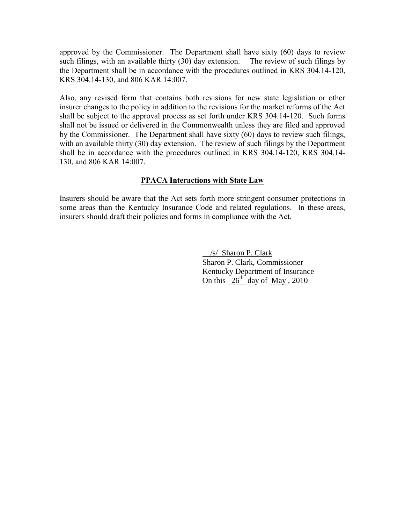approved by the Commissioner. The Department shall have sixty (60) days to review such filings, with an available thirty (30) day extension. The review of such filings by the Department shall be in accordance with the procedures outlined in KRS 304.14-120, KRS 304.14-130, and 806 KAR 14:007.

Also, any revised form that contains both revisions for new state legislation or other insurer changes to the policy in addition to the revisions for the market reforms of the Act shall be subject to the approval process as set forth under KRS 304.14-120. Such forms shall not be issued or delivered in the Commonwealth unless they are filed and approved by the Commissioner. The Department shall have sixty (60) days to review such filings, with an available thirty (30) day extension. The review of such filings by the Department shall be in accordance with the procedures outlined in KRS 304.14-120, KRS 304.14- 130, and 806 KAR 14:007.

### **PPACA Interactions with State Law**

Insurers should be aware that the Act sets forth more stringent consumer protections in some areas than the Kentucky Insurance Code and related regulations. In these areas, insurers should draft their policies and forms in compliance with the Act.

> /s/ Sharon P. Clark Sharon P. Clark, Commissioner Kentucky Department of Insurance On this  $26^{th}$  day of May, 2010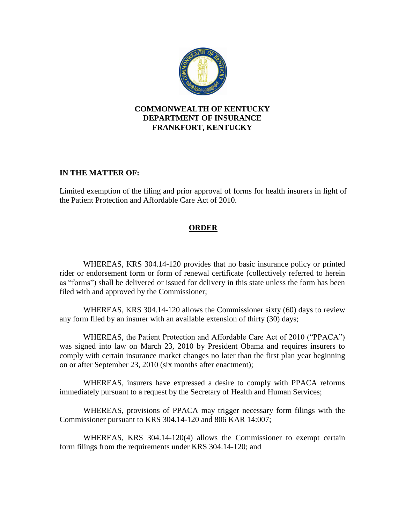

### **COMMONWEALTH OF KENTUCKY DEPARTMENT OF INSURANCE FRANKFORT, KENTUCKY**

### **IN THE MATTER OF:**

Limited exemption of the filing and prior approval of forms for health insurers in light of the Patient Protection and Affordable Care Act of 2010.

## **ORDER**

WHEREAS, KRS 304.14-120 provides that no basic insurance policy or printed rider or endorsement form or form of renewal certificate (collectively referred to herein as "forms") shall be delivered or issued for delivery in this state unless the form has been filed with and approved by the Commissioner;

WHEREAS, KRS 304.14-120 allows the Commissioner sixty (60) days to review any form filed by an insurer with an available extension of thirty (30) days;

WHEREAS, the Patient Protection and Affordable Care Act of 2010 ("PPACA") was signed into law on March 23, 2010 by President Obama and requires insurers to comply with certain insurance market changes no later than the first plan year beginning on or after September 23, 2010 (six months after enactment);

WHEREAS, insurers have expressed a desire to comply with PPACA reforms immediately pursuant to a request by the Secretary of Health and Human Services;

WHEREAS, provisions of PPACA may trigger necessary form filings with the Commissioner pursuant to KRS 304.14-120 and 806 KAR 14:007;

WHEREAS, KRS 304.14-120(4) allows the Commissioner to exempt certain form filings from the requirements under KRS 304.14-120; and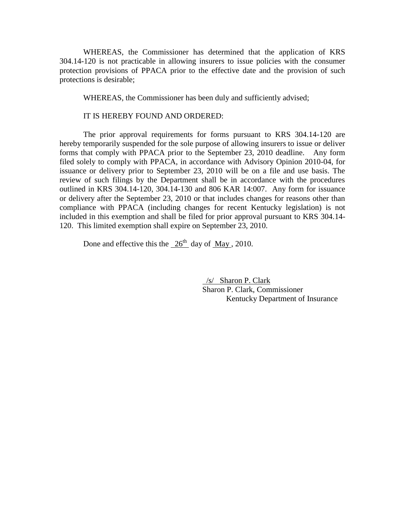WHEREAS, the Commissioner has determined that the application of KRS 304.14-120 is not practicable in allowing insurers to issue policies with the consumer protection provisions of PPACA prior to the effective date and the provision of such protections is desirable;

WHEREAS, the Commissioner has been duly and sufficiently advised;

IT IS HEREBY FOUND AND ORDERED:

The prior approval requirements for forms pursuant to KRS 304.14-120 are hereby temporarily suspended for the sole purpose of allowing insurers to issue or deliver forms that comply with PPACA prior to the September 23, 2010 deadline. Any form filed solely to comply with PPACA, in accordance with Advisory Opinion 2010-04, for issuance or delivery prior to September 23, 2010 will be on a file and use basis. The review of such filings by the Department shall be in accordance with the procedures outlined in KRS 304.14-120, 304.14-130 and 806 KAR 14:007. Any form for issuance or delivery after the September 23, 2010 or that includes changes for reasons other than compliance with PPACA (including changes for recent Kentucky legislation) is not included in this exemption and shall be filed for prior approval pursuant to KRS 304.14- 120. This limited exemption shall expire on September 23, 2010.

Done and effective this the  $26<sup>th</sup>$  day of May , 2010.

 /s/ Sharon P. Clark Sharon P. Clark, Commissioner Kentucky Department of Insurance